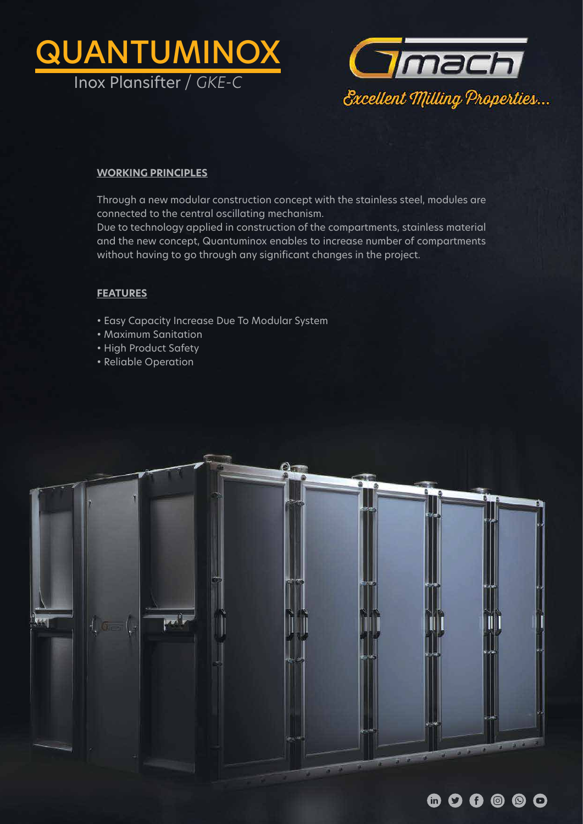



## **WORKING PRINCIPLES**

Through a new modular construction concept with the stainless steel, modules are connected to the central oscillating mechanism.

Due to technology applied in construction of the compartments, stainless material and the new concept, Quantuminox enables to increase number of compartments without having to go through any significant changes in the project.

## **FEATURES**

- Easy Capacity Increase Due To Modular System
- Maximum Sanitation
- High Product Safety
- Reliable Operation